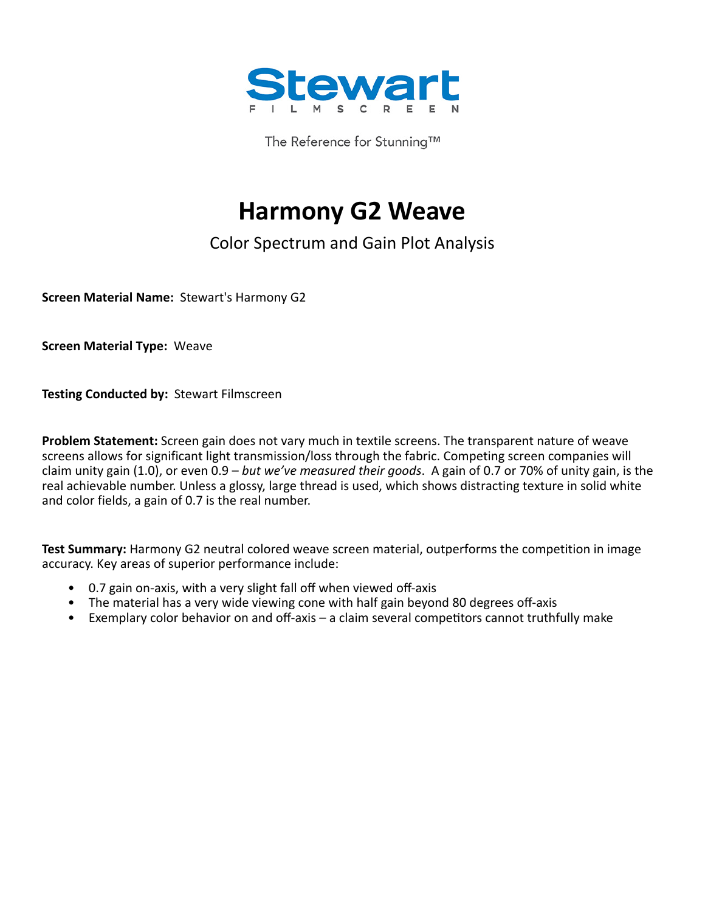

The Reference for Stunning™

# **Harmony G2 Weave**

## Color Spectrum and Gain Plot Analysis

**Screen Material Name:** Stewart's Harmony G2

**Screen Material Type:** Weave

**Testing Conducted by:** Stewart Filmscreen

**Problem Statement:** Screen gain does not vary much in textile screens. The transparent nature of weave screens allows for significant light transmission/loss through the fabric. Competing screen companies will claim unity gain (1.0), or even 0.9 – *but we've measured their goods*. A gain of 0.7 or 70% of unity gain, is the real achievable number. Unless a glossy, large thread is used, which shows distracting texture in solid white and color fields, a gain of 0.7 is the real number.

**Test Summary:** Harmony G2 neutral colored weave screen material, outperforms the competition in image accuracy. Key areas of superior performance include:

- 0.7 gain on-axis, with a very slight fall off when viewed off-axis
- The material has a very wide viewing cone with half gain beyond 80 degrees off-axis
- Exemplary color behavior on and off-axis a claim several competitors cannot truthfully make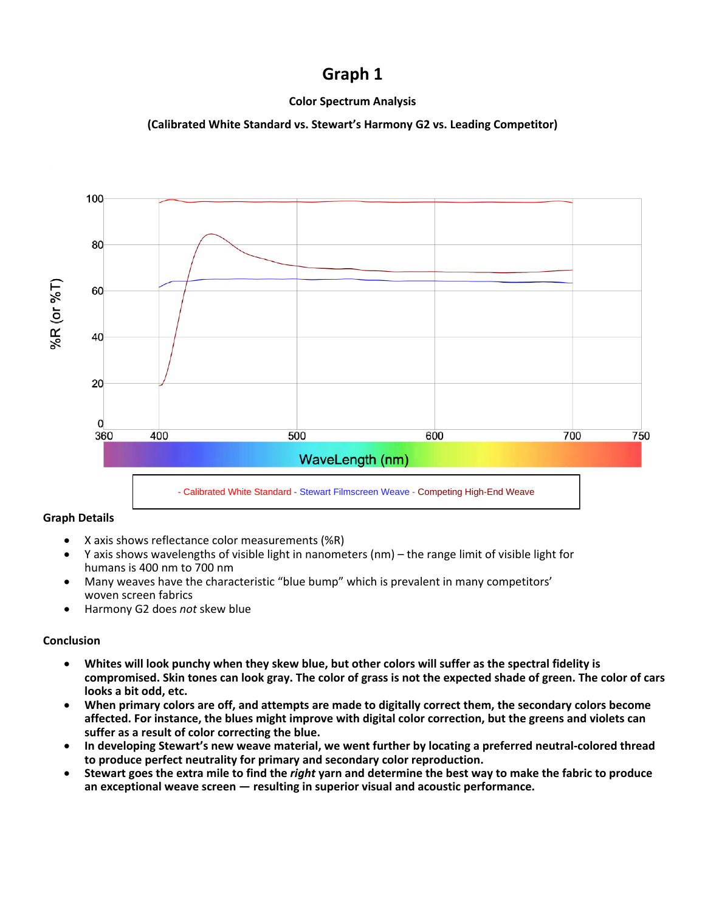### **Graph 1**

#### **Color Spectrum Analysis**

#### **(Calibrated White Standard vs. Stewart's Harmony G2 vs. Leading Competitor)**



#### **Graph Details**

- X axis shows reflectance color measurements (%R)
- Y axis shows wavelengths of visible light in nanometers (nm) the range limit of visible light for humans is 400 nm to 700 nm
- Many weaves have the characteristic "blue bump" which is prevalent in many competitors' woven screen fabrics
- Harmony G2 does *not* skew blue

#### **Conclusion**

- **Whites will look punchy when they skew blue, but other colors will suffer as the spectral fidelity is compromised. Skin tones can look gray. The color of grass is not the expected shade of green. The color of cars looks a bit odd, etc.**
- **When primary colors are off, and attempts are made to digitally correct them, the secondary colors become affected. For instance, the blues might improve with digital color correction, but the greens and violets can suffer as a result of color correcting the blue.**
- **In developing Stewart's new weave material, we went further by locating a preferred neutral-colored thread to produce perfect neutrality for primary and secondary color reproduction.**
- **Stewart goes the extra mile to find the** *right* **yarn and determine the best way to make the fabric to produce an exceptional weave screen — resulting in superior visual and acoustic performance.**